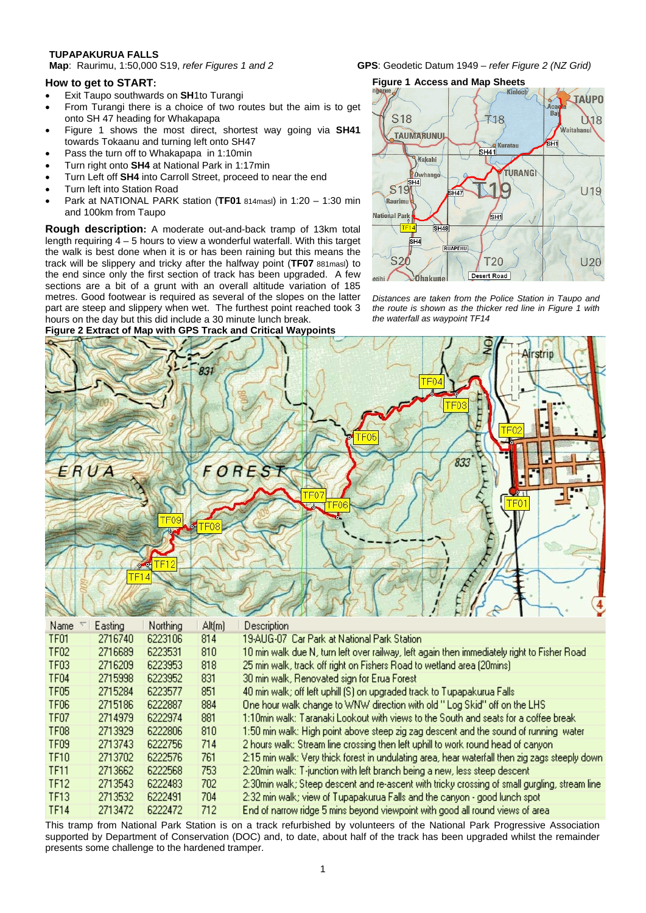**TUPAPAKURUA FALLS** 

## **How to get to START:**

- Exit Taupo southwards on **SH**1to Turangi
- From Turangi there is a choice of two routes but the aim is to get onto SH 47 heading for Whakapapa
- Figure 1 shows the most direct, shortest way going via **SH41**  towards Tokaanu and turning left onto SH47
- Pass the turn off to Whakapapa in 1:10min
- Turn right onto **SH4** at National Park in 1:17min
- Turn Left off **SH4** into Carroll Street, proceed to near the end
- Turn left into Station Road
- Park at NATIONAL PARK station (**TF01** 814masl) in 1:20 1:30 min and 100km from Taupo

**Rough description:** A moderate out-and-back tramp of 13km total length requiring  $4 - 5$  hours to view a wonderful waterfall. With this target the walk is best done when it is or has been raining but this means the track will be slippery and tricky after the halfway point (**TF07** 881masl) to the end since only the first section of track has been upgraded. A few sections are a bit of a grunt with an overall altitude variation of 185 metres. Good footwear is required as several of the slopes on the latter part are steep and slippery when wet. The furthest point reached took 3 hours on the day but this did include a 30 minute lunch break.

### **Figure 2 Extract of Map with GPS Track and Critical Waypoints**

**GPS:** Geodetic Datum 1949 – *refer Figure 2 (NZ Grid)* 





*Distances are taken from the Police Station in Taupo and the route is shown as the thicker red line in Figure 1 with the waterfall as waypoint TF14* 



| Name             | Easting | Northing | Alt[m] | Description                                                                                     |
|------------------|---------|----------|--------|-------------------------------------------------------------------------------------------------|
| TF01             | 2716740 | 6223106  | 814    | 19-AUG-07  Car Park at National Park Station.                                                   |
| TF <sub>02</sub> | 2716689 | 6223531  | 810    | 10 min walk due N, turn left over railway, left again then immediately right to Fisher Road.    |
| TF <sub>03</sub> | 2716209 | 6223953  | 818    | 25 min walk, track off right on Fishers Road to wetland area (20mins).                          |
| TF <sub>04</sub> | 2715998 | 6223952  | 831    | 30 min walk, Renovated sign for Erua Forest                                                     |
| TF <sub>05</sub> | 2715284 | 6223577  | 851    | 40 min walk; off left uphill (S) on upgraded track to Tupapakurua Falls.                        |
| TF <sub>06</sub> | 2715186 | 6222887  | 884    | One hour walk change to WNW direction with old " Log Skid" off on the LHS                       |
| TF07             | 2714979 | 6222974  | 881    | 1:10min walk: Taranaki Lookout with views to the South and seats for a coffee break             |
| TF <sub>08</sub> | 2713929 | 6222806  | 810    | 1:50 min walk: High point above steep zig zag descent and the sound of running water            |
| TF <sub>09</sub> | 2713743 | 6222756  | 714    | 2 hours walk: Stream line crossing then left uphill to work round head of canyon.               |
| TF10             | 2713702 | 6222576  | 761    | 2:15 min walk: Very thick forest in undulating area, hear waterfall then zig zags steeply down. |
| <b>TF11</b>      | 2713662 | 6222568  | 753.   | 2:20min walk: T-junction with left branch being a new, less steep descent.                      |
| TF12             | 2713543 | 6222483  | 702.   | 2:30min walk; Steep descent and re-ascent with tricky crossing of small gurgling, stream line   |
| TF13             | 2713532 | 6222491  | 704    | 2:32 min walk; view of Tupapakurua Falls and the canyon - good lunch spot                       |
| TF14             | 2713472 | 6222472  | 712.   | End of narrow ridge 5 mins beyond viewpoint with good all round views of area.                  |

This tramp from National Park Station is on a track refurbished by volunteers of the National Park Progressive Association supported by Department of Conservation (DOC) and, to date, about half of the track has been upgraded whilst the remainder presents some challenge to the hardened tramper.